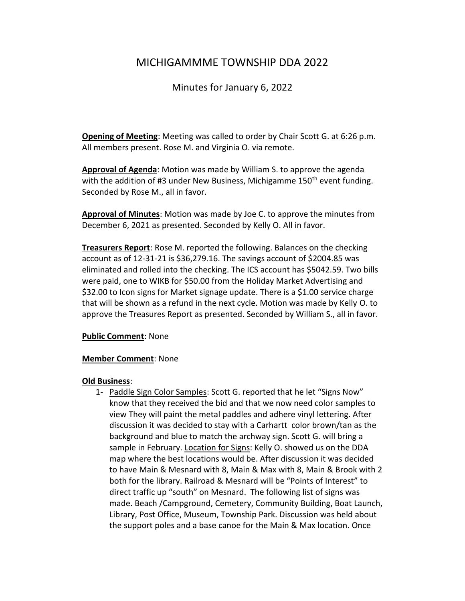# MICHIGAMMME TOWNSHIP DDA 2022

## Minutes for January 6, 2022

**Opening of Meeting**: Meeting was called to order by Chair Scott G. at 6:26 p.m. All members present. Rose M. and Virginia O. via remote.

**Approval of Agenda**: Motion was made by William S. to approve the agenda with the addition of #3 under New Business, Michigamme 150<sup>th</sup> event funding. Seconded by Rose M., all in favor.

**Approval of Minutes**: Motion was made by Joe C. to approve the minutes from December 6, 2021 as presented. Seconded by Kelly O. All in favor.

**Treasurers Report**: Rose M. reported the following. Balances on the checking account as of 12-31-21 is \$36,279.16. The savings account of \$2004.85 was eliminated and rolled into the checking. The ICS account has \$5042.59. Two bills were paid, one to WIKB for \$50.00 from the Holiday Market Advertising and \$32.00 to Icon signs for Market signage update. There is a \$1.00 service charge that will be shown as a refund in the next cycle. Motion was made by Kelly O. to approve the Treasures Report as presented. Seconded by William S., all in favor.

### **Public Comment**: None

### **Member Comment**: None

### **Old Business**:

1- Paddle Sign Color Samples: Scott G. reported that he let "Signs Now" know that they received the bid and that we now need color samples to view They will paint the metal paddles and adhere vinyl lettering. After discussion it was decided to stay with a Carhartt color brown/tan as the background and blue to match the archway sign. Scott G. will bring a sample in February. Location for Signs: Kelly O. showed us on the DDA map where the best locations would be. After discussion it was decided to have Main & Mesnard with 8, Main & Max with 8, Main & Brook with 2 both for the library. Railroad & Mesnard will be "Points of Interest" to direct traffic up "south" on Mesnard. The following list of signs was made. Beach /Campground, Cemetery, Community Building, Boat Launch, Library, Post Office, Museum, Township Park. Discussion was held about the support poles and a base canoe for the Main & Max location. Once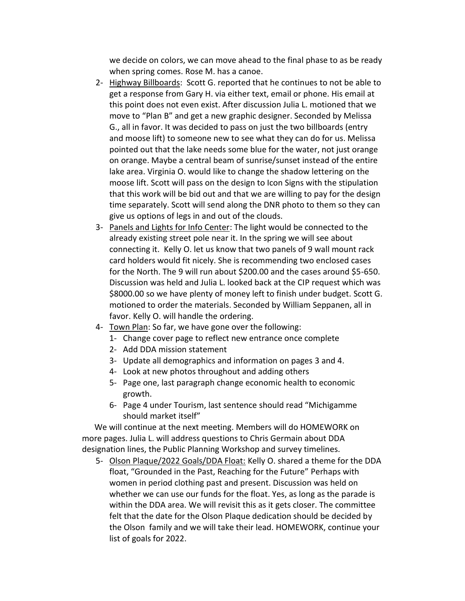we decide on colors, we can move ahead to the final phase to as be ready when spring comes. Rose M. has a canoe.

- 2- Highway Billboards: Scott G. reported that he continues to not be able to get a response from Gary H. via either text, email or phone. His email at this point does not even exist. After discussion Julia L. motioned that we move to "Plan B" and get a new graphic designer. Seconded by Melissa G., all in favor. It was decided to pass on just the two billboards (entry and moose lift) to someone new to see what they can do for us. Melissa pointed out that the lake needs some blue for the water, not just orange on orange. Maybe a central beam of sunrise/sunset instead of the entire lake area. Virginia O. would like to change the shadow lettering on the moose lift. Scott will pass on the design to Icon Signs with the stipulation that this work will be bid out and that we are willing to pay for the design time separately. Scott will send along the DNR photo to them so they can give us options of legs in and out of the clouds.
- 3- Panels and Lights for Info Center: The light would be connected to the already existing street pole near it. In the spring we will see about connecting it. Kelly O. let us know that two panels of 9 wall mount rack card holders would fit nicely. She is recommending two enclosed cases for the North. The 9 will run about \$200.00 and the cases around \$5-650. Discussion was held and Julia L. looked back at the CIP request which was \$8000.00 so we have plenty of money left to finish under budget. Scott G. motioned to order the materials. Seconded by William Seppanen, all in favor. Kelly O. will handle the ordering.
- 4- Town Plan: So far, we have gone over the following:
	- 1- Change cover page to reflect new entrance once complete
	- 2- Add DDA mission statement
	- 3- Update all demographics and information on pages 3 and 4.
	- 4- Look at new photos throughout and adding others
	- 5- Page one, last paragraph change economic health to economic growth.
	- 6- Page 4 under Tourism, last sentence should read "Michigamme should market itself"

 We will continue at the next meeting. Members will do HOMEWORK on more pages. Julia L. will address questions to Chris Germain about DDA designation lines, the Public Planning Workshop and survey timelines.

5- Olson Plaque/2022 Goals/DDA Float: Kelly O. shared a theme for the DDA float, "Grounded in the Past, Reaching for the Future" Perhaps with women in period clothing past and present. Discussion was held on whether we can use our funds for the float. Yes, as long as the parade is within the DDA area. We will revisit this as it gets closer. The committee felt that the date for the Olson Plaque dedication should be decided by the Olson family and we will take their lead. HOMEWORK, continue your list of goals for 2022.